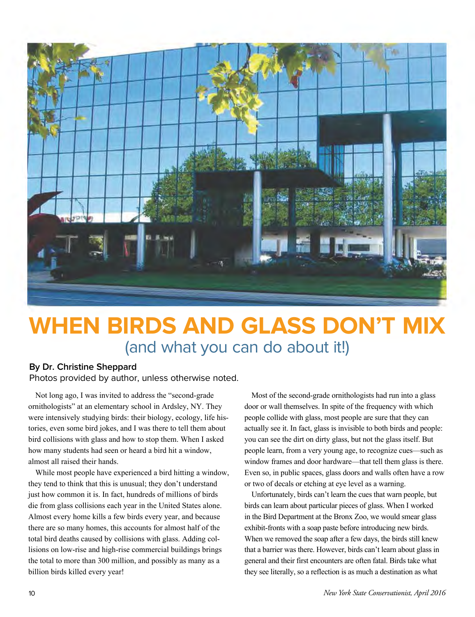

## **WHEN BIRDS AND GLASS DON'T MIX** (and what you can do about it!)

## **By Dr. Christine Sheppard**

Photos provided by author, unless otherwise noted.

Not long ago, I was invited to address the "second-grade ornithologists" at an elementary school in Ardsley, NY. They were intensively studying birds: their biology, ecology, life histories, even some bird jokes, and I was there to tell them about bird collisions with glass and how to stop them. When I asked how many students had seen or heard a bird hit a window, almost all raised their hands.

While most people have experienced a bird hitting a window, they tend to think that this is unusual; they don't understand just how common it is. In fact, hundreds of millions of birds die from glass collisions each year in the United States alone. Almost every home kills a few birds every year, and because there are so many homes, this accounts for almost half of the total bird deaths caused by collisions with glass. Adding collisions on low-rise and high-rise commercial buildings brings the total to more than 300 million, and possibly as many as a billion birds killed every year!

Most of the second-grade ornithologists had run into a glass door or wall themselves. In spite of the frequency with which people collide with glass, most people are sure that they can actually see it. In fact, glass is invisible to both birds and people: you can see the dirt on dirty glass, but not the glass itself. But people learn, from a very young age, to recognize cues—such as window frames and door hardware—that tell them glass is there. Even so, in public spaces, glass doors and walls often have a row or two of decals or etching at eye level as a warning.

Unfortunately, birds can't learn the cues that warn people, but birds can learn about particular pieces of glass. When I worked in the Bird Department at the Bronx Zoo, we would smear glass exhibit-fronts with a soap paste before introducing new birds. When we removed the soap after a few days, the birds still knew that a barrier was there. However, birds can't learn about glass in general and their first encounters are often fatal. Birds take what they see literally, so a reflection is as much a destination as what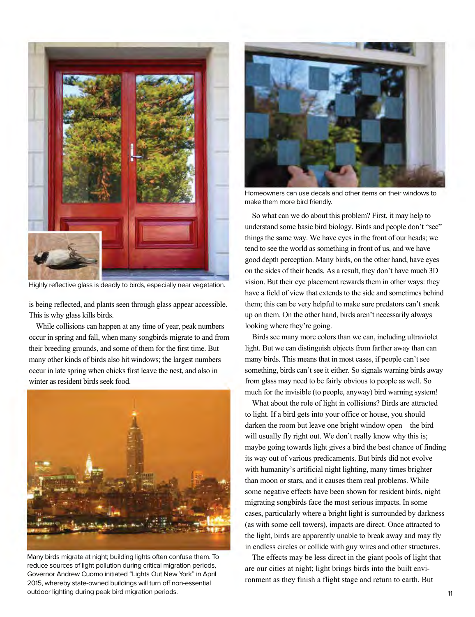

Highly reflective glass is deadly to birds, especially near vegetation.

is being reflected, and plants seen through glass appear accessible. This is why glass kills birds.

While collisions can happen at any time of year, peak numbers occur in spring and fall, when many songbirds migrate to and from their breeding grounds, and some of them for the first time. But many other kinds of birds also hit windows; the largest numbers occur in late spring when chicks first leave the nest, and also in winter as resident birds seek food.



Many birds migrate at night; building lights often confuse them. To reduce sources of light pollution during critical migration periods, Governor Andrew Cuomo initiated "Lights Out New York" in April 2015, whereby state-owned buildings will turn off non-essential outdoor lighting during peak bird migration periods. 11 and 200 minutes are a set of the set of the set of the set of the set of the set of the set of the set of the set of the set of the set of the set of the set of the s



Homeowners can use decals and other items on their windows to make them more bird friendly.

So what can we do about this problem? First, it may help to understand some basic bird biology. Birds and people don't "see" things the same way. We have eyes in the front of our heads; we tend to see the world as something in front of us, and we have good depth perception. Many birds, on the other hand, have eyes on the sides of their heads. As a result, they don't have much 3D vision. But their eye placement rewards them in other ways: they have a field of view that extends to the side and sometimes behind them; this can be very helpful to make sure predators can't sneak up on them. On the other hand, birds aren't necessarily always looking where they're going.

Birds see many more colors than we can, including ultraviolet light. But we can distinguish objects from farther away than can many birds. This means that in most cases, if people can't see something, birds can't see it either. So signals warning birds away from glass may need to be fairly obvious to people as well. So much for the invisible (to people, anyway) bird warning system!

What about the role of light in collisions? Birds are attracted to light. If a bird gets into your office or house, you should darken the room but leave one bright window open—the bird will usually fly right out. We don't really know why this is; maybe going towards light gives a bird the best chance of finding its way out of various predicaments. But birds did not evolve with humanity's artificial night lighting, many times brighter than moon or stars, and it causes them real problems. While some negative effects have been shown for resident birds, night migrating songbirds face the most serious impacts. In some cases, particularly where a bright light is surrounded by darkness (as with some cell towers), impacts are direct. Once attracted to the light, birds are apparently unable to break away and may fly in endless circles or collide with guy wires and other structures.

The effects may be less direct in the giant pools of light that are our cities at night; light brings birds into the built environment as they finish a flight stage and return to earth. But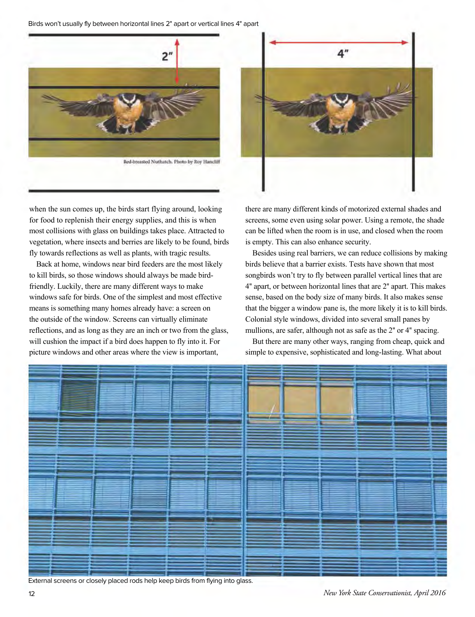Birds won't usually fly between horizontal lines 2" apart or vertical lines 4" apart



when the sun comes up, the birds start flying around, looking for food to replenish their energy supplies, and this is when most collisions with glass on buildings takes place. Attracted to vegetation, where insects and berries are likely to be found, birds fly towards reflections as well as plants, with tragic results.

Back at home, windows near bird feeders are the most likely to kill birds, so those windows should always be made birdfriendly. Luckily, there are many different ways to make windows safe for birds. One of the simplest and most effective means is something many homes already have: a screen on the outside of the window. Screens can virtually eliminate reflections, and as long as they are an inch or two from the glass, will cushion the impact if a bird does happen to fly into it. For picture windows and other areas where the view is important,



there are many different kinds of motorized external shades and screens, some even using solar power. Using a remote, the shade can be lifted when the room is in use, and closed when the room is empty. This can also enhance security.

Besides using real barriers, we can reduce collisions by making birds believe that a barrier exists. Tests have shown that most songbirds won't try to fly between parallel vertical lines that are 4" apart, or between horizontal lines that are 2" apart. This makes sense, based on the body size of many birds. It also makes sense that the bigger a window pane is, the more likely it is to kill birds. Colonial style windows, divided into several small panes by mullions, are safer, although not as safe as the 2" or 4" spacing.

But there are many other ways, ranging from cheap, quick and simple to expensive, sophisticated and long-lasting. What about



External screens or closely placed rods help keep birds from flying into glass.